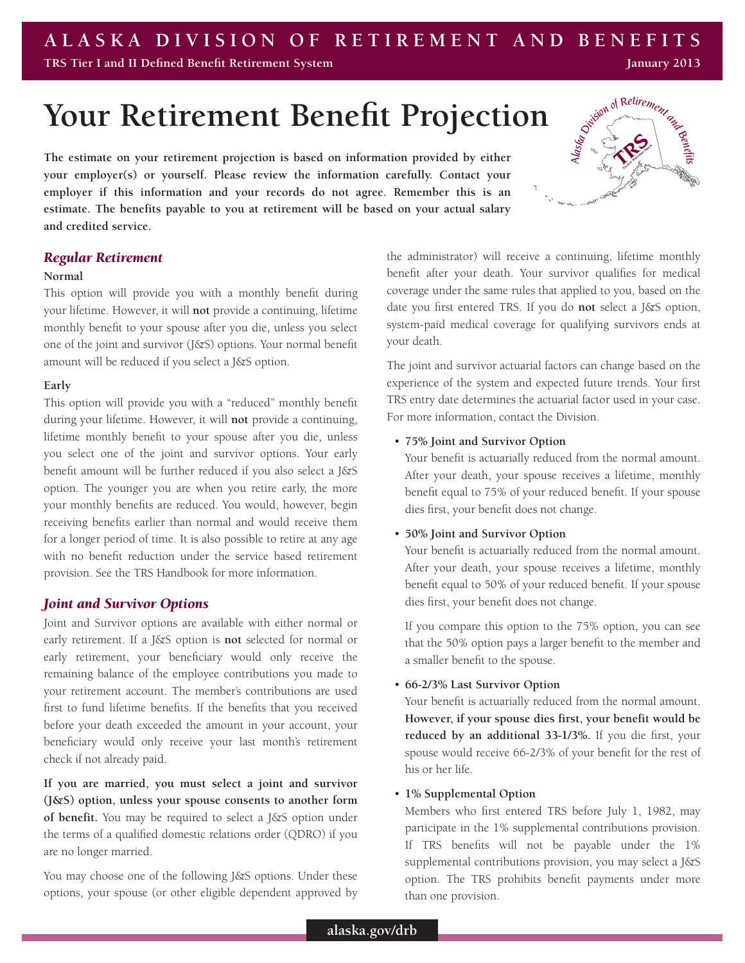#### **ALASKA DIVISION OF RETIREMENT AND BENEFITS TRS Tier I and II Defined Benefit Retirement System January 2013**

# **Your Retirement Benefit Projection**

**The estimate on your retirement projection is based on information provided by either your employer(s) or yourself. Please review the information carefully. Contact your employer if this information and your records do not agree. Remember this is an estimate. The benefits payable to you at retirement will be based on your actual salary and credited service.** 

## *Regular Retirement*

#### **Normal**

This option will provide you with a monthly benefit during your lifetime. However, it will **not** provide a continuing, lifetime monthly benefit to your spouse after you die, unless you select one of the joint and survivor (J&S) options. Your normal benefit amount will be reduced if you select a J&S option.

## **Early**

This option will provide you with a "reduced" monthly benefit during your lifetime. However, it will **not** provide a continuing, lifetime monthly benefit to your spouse after you die, unless you select one of the joint and survivor options. Your early benefit amount will be further reduced if you also select a J&S option. The younger you are when you retire early, the more your monthly benefits are reduced. You would, however, begin receiving benefits earlier than normal and would receive them for a longer period of time. It is also possible to retire at any age with no benefit reduction under the service based retirement provision. See the TRS Handbook for more information.

## *Joint and Survivor Options*

Joint and Survivor options are available with either normal or early retirement. If a J&S option is **not** selected for normal or early retirement, your beneficiary would only receive the remaining balance of the employee contributions you made to your retirement account. The member's contributions are used first to fund lifetime benefits. If the benefits that you received before your death exceeded the amount in your account, your beneficiary would only receive your last month's retirement check if not already paid.

**If you are married, you must select a joint and survivor (J&S) option, unless your spouse consents to another form of benefit.** You may be required to select a J&S option under the terms of a qualified domestic relations order (QDRO) if you are no longer married.

You may choose one of the following J&S options. Under these options, your spouse (or other eligible dependent approved by

the administrator) will receive a continuing, lifetime monthly benefit after your death. Your survivor qualifies for medical coverage under the same rules that applied to you, based on the date you first entered TRS. If you do **not** select a J&S option, system-paid medical coverage for qualifying survivors ends at your death.

The joint and survivor actuarial factors can change based on the experience of the system and expected future trends. Your first TRS entry date determines the actuarial factor used in your case. For more information, contact the Division.

## • **75% Joint and Survivor Option**

Your benefit is actuarially reduced from the normal amount. After your death, your spouse receives a lifetime, monthly benefit equal to 75% of your reduced benefit. If your spouse dies first, your benefit does not change.

## • **50% Joint and Survivor Option**

Your benefit is actuarially reduced from the normal amount. After your death, your spouse receives a lifetime, monthly benefit equal to 50% of your reduced benefit. If your spouse dies first, your benefit does not change.

If you compare this option to the 75% option, you can see that the 50% option pays a larger benefit to the member and a smaller benefit to the spouse.

## • **66-2/3% Last Survivor Option**

Your benefit is actuarially reduced from the normal amount. **However, if your spouse dies first, your benefit would be reduced by an additional 33-1/3%.** If you die first, your spouse would receive 66-2/3% of your benefit for the rest of his or her life.

## • **1% Supplemental Option**

Members who first entered TRS before July 1, 1982, may participate in the 1% supplemental contributions provision. If TRS benefits will not be payable under the 1% supplemental contributions provision, you may select a J&S option. The TRS prohibits benefit payments under more than one provision.